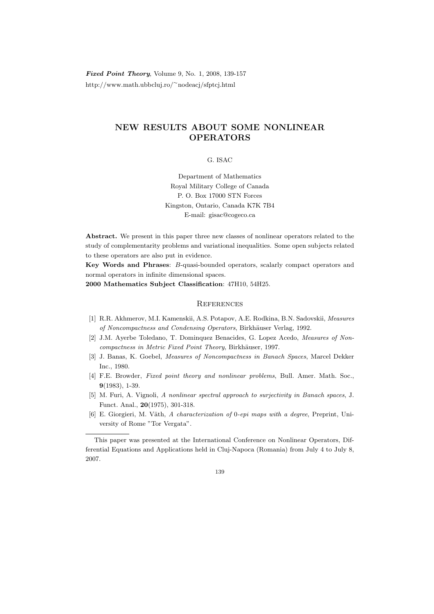Fixed Point Theory, Volume 9, No. 1, 2008, 139-157 http://www.math.ubbcluj.ro/<sup>∼</sup>nodeacj/sfptcj.html

## NEW RESULTS ABOUT SOME NONLINEAR OPERATORS

G. ISAC

Department of Mathematics Royal Military College of Canada P. O. Box 17000 STN Forces Kingston, Ontario, Canada K7K 7B4 E-mail: gisac@cogeco.ca

Abstract. We present in this paper three new classes of nonlinear operators related to the study of complementarity problems and variational inequalities. Some open subjects related to these operators are also put in evidence.

Key Words and Phrases: B-quasi-bounded operators, scalarly compact operators and normal operators in infinite dimensional spaces.

2000 Mathematics Subject Classification: 47H10, 54H25.

## **REFERENCES**

- [1] R.R. Akhmerov, M.I. Kamenskii, A.S. Potapov, A.E. Rodkina, B.N. Sadovskii, Measures of Noncompactness and Condensing Operators, Birkhäuser Verlag, 1992.
- [2] J.M. Ayerbe Toledano, T. Dominquez Benacides, G. Lopez Acedo, Measures of Noncompactness in Metric Fixed Point Theory, Birkhäuser, 1997.
- [3] J. Banas, K. Goebel, Measures of Noncompactness in Banach Spaces, Marcel Dekker Inc., 1980.
- [4] F.E. Browder, Fixed point theory and nonlinear problems, Bull. Amer. Math. Soc., 9(1983), 1-39.
- [5] M. Furi, A. Vignoli, A nonlinear spectral approach to surjectivity in Banach spaces, J. Funct. Anal., 20(1975), 301-318.
- [6] E. Giorgieri, M. Väth, A characterization of 0-epi maps with a degree, Preprint, University of Rome "Tor Vergata".

This paper was presented at the International Conference on Nonlinear Operators, Differential Equations and Applications held in Cluj-Napoca (Romania) from July 4 to July 8, 2007.

<sup>139</sup>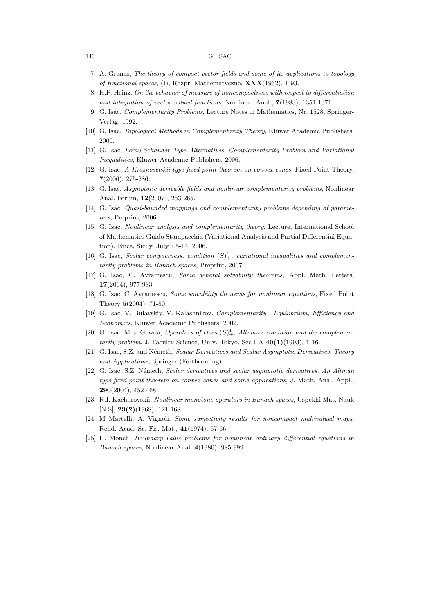## 140 G. ISAC

- [7] A. Granas, The theory of compact vector fields and some of its applications to topology of functional spaces, (I), Rozpr. Mathematyczne,  $\mathbf{XXX}(1962)$ , 1-93.
- [8] H.P. Heinz, On the behavior of measure of noncompactness with respect to differentiation and integration of vector-valued functions, Nonlinear Anal., 7(1983), 1351-1371.
- [9] G. Isac, Complementarity Problems, Lecture Notes in Mathematics, Nr. 1528, Springer-Verlag, 1992.
- [10] G. Isac, Topological Methods in Complementarity Theory, Kluwer Academic Publishers, 2000.
- [11] G. Isac, Leray-Schauder Type Alternatives, Complementarity Problem and Variational Inequalities, Kluwer Academic Publishers, 2006.
- [12] G. Isac, A Krasnoselskii type fixed-point theorem on convex cones, Fixed Point Theory, 7(2006), 275-286.
- [13] G. Isac, Asymptotic derivable fields and nonlinear complementarity problems, Nonlinear Anal. Forum, 12(2007), 253-265.
- [14] G. Isac, Quasi-bounded mappings and complementarity problems depending of parameters, Preprint, 2006.
- [15] G. Isac, Nonlinear analysis and complementarity theory, Lecture, International School of Mathematics Guido Stampacchia (Variational Analysis and Partial Differential Equation), Erice, Sicily, July, 05-14, 2006.
- [16] G. Isac, Scalar compactness, condition  $(S)^1_+$ , variational inequalities and complementarity problems in Banach spaces, Preprint, 2007.
- [17] G. Isac, C. Avramescu, Some general solvability theorems, Appl. Math. Letters, 17(2004), 977-983.
- [18] G. Isac, C. Avramescu, Some solvability theorems for nonlinear equations, Fixed Point Theory 5(2004), 71-80.
- [19] G. Isac, V. Bulavskiy, V. Kalashnikov, Complementarity , Equilibrium, Efficiency and Economics, Kluwer Academic Publishers, 2002.
- [20] G. Isac, M.S. Gowda, Operators of class  $(S)^1_+$ , Altman's condition and the complementarity problem, J. Faculty Science, Univ. Tokyo, Sec I A  $40(1)(1993)$ , 1-16.
- [21] G. Isac, S.Z. and Németh, Scalar Derivatives and Scalar Asymptotic Derivatives. Theory and Applications, Springer (Forthcoming).
- [22] G. Isac, S.Z. Németh, Scalar derivatives and scalar asymptotic derivatives. An Altman type fixed-point theorem on convex cones and some applications, J. Math. Anal. Appl., 290(2004), 452-468.
- [23] R.I. Kachurovskii, Nonlinear monotone operators in Banach spaces, Uspekhi Mat. Nauk [N.S], **23(2)**(1968), 121-168.
- [24] M Martelli, A. Vignoli, Some surjectivity results for noncompact multivalued maps, Rend. Acad. Sc. Fis. Mat., 41(1974), 57-66.
- [25] H. Mönch, *Boundary value problems for nonlinear ordinary differential equations in* Banach spaces, Nonlinear Anal. 4(1980), 985-999.